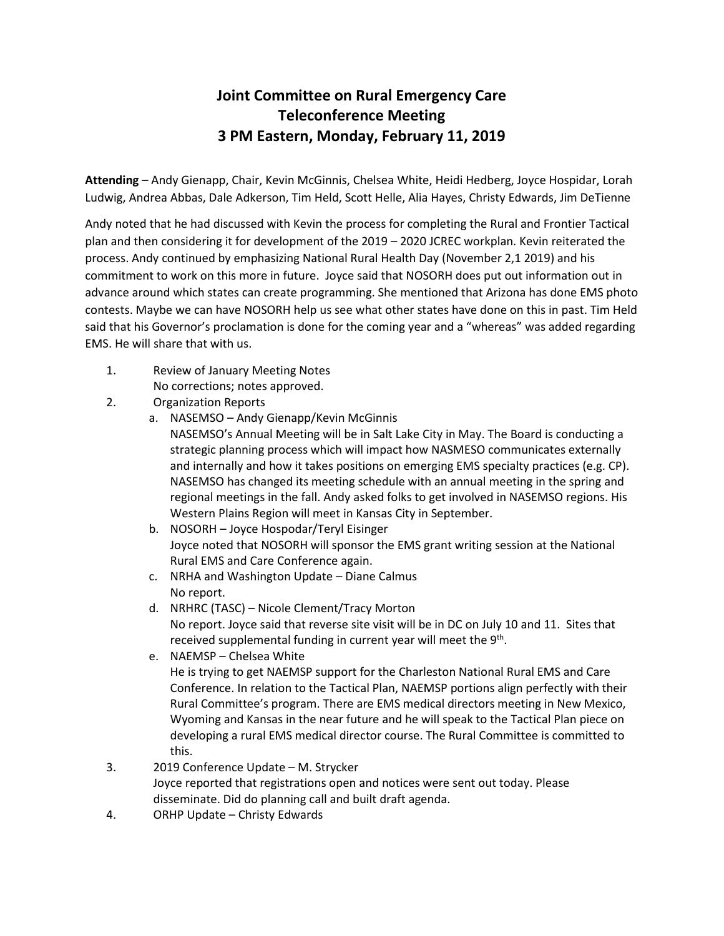## **Joint Committee on Rural Emergency Care Teleconference Meeting 3 PM Eastern, Monday, February 11, 2019**

**Attending** – Andy Gienapp, Chair, Kevin McGinnis, Chelsea White, Heidi Hedberg, Joyce Hospidar, Lorah Ludwig, Andrea Abbas, Dale Adkerson, Tim Held, Scott Helle, Alia Hayes, Christy Edwards, Jim DeTienne

Andy noted that he had discussed with Kevin the process for completing the Rural and Frontier Tactical plan and then considering it for development of the 2019 – 2020 JCREC workplan. Kevin reiterated the process. Andy continued by emphasizing National Rural Health Day (November 2,1 2019) and his commitment to work on this more in future. Joyce said that NOSORH does put out information out in advance around which states can create programming. She mentioned that Arizona has done EMS photo contests. Maybe we can have NOSORH help us see what other states have done on this in past. Tim Held said that his Governor's proclamation is done for the coming year and a "whereas" was added regarding EMS. He will share that with us.

- 1. Review of January Meeting Notes
	- No corrections; notes approved.
- 2. Organization Reports
	- a. NASEMSO Andy Gienapp/Kevin McGinnis NASEMSO's Annual Meeting will be in Salt Lake City in May. The Board is conducting a strategic planning process which will impact how NASMESO communicates externally and internally and how it takes positions on emerging EMS specialty practices (e.g. CP). NASEMSO has changed its meeting schedule with an annual meeting in the spring and regional meetings in the fall. Andy asked folks to get involved in NASEMSO regions. His Western Plains Region will meet in Kansas City in September.
	- b. NOSORH Joyce Hospodar/Teryl Eisinger Joyce noted that NOSORH will sponsor the EMS grant writing session at the National Rural EMS and Care Conference again.
	- c. NRHA and Washington Update Diane Calmus No report.
	- d. NRHRC (TASC) Nicole Clement/Tracy Morton No report. Joyce said that reverse site visit will be in DC on July 10 and 11. Sites that received supplemental funding in current year will meet the 9<sup>th</sup>.
	- e. NAEMSP Chelsea White He is trying to get NAEMSP support for the Charleston National Rural EMS and Care Conference. In relation to the Tactical Plan, NAEMSP portions align perfectly with their Rural Committee's program. There are EMS medical directors meeting in New Mexico, Wyoming and Kansas in the near future and he will speak to the Tactical Plan piece on developing a rural EMS medical director course. The Rural Committee is committed to this.

## 3. 2019 Conference Update – M. Strycker Joyce reported that registrations open and notices were sent out today. Please disseminate. Did do planning call and built draft agenda.

4. ORHP Update – Christy Edwards